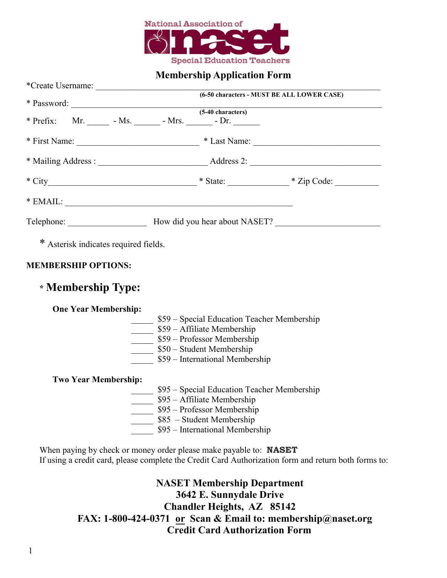

## **Membership Application Form**

|                                                                    | * Password: <u>(5-40 characters)</u>                                                                 |
|--------------------------------------------------------------------|------------------------------------------------------------------------------------------------------|
| * Prefix: Mr. ________ - Ms. _______ - Mrs. _______ - Dr. ________ |                                                                                                      |
|                                                                    |                                                                                                      |
|                                                                    | * First Name: $\frac{1}{2}$ * Last Name: $\frac{1}{2}$ * Last Name: $\frac{1}{2}$                    |
|                                                                    |                                                                                                      |
|                                                                    |                                                                                                      |
|                                                                    |                                                                                                      |
|                                                                    | $*$ EMAIL:                                                                                           |
|                                                                    |                                                                                                      |
|                                                                    |                                                                                                      |
| * Asterisk indicates required fields.                              |                                                                                                      |
| <b>MEMBERSHIP OPTIONS:</b>                                         |                                                                                                      |
|                                                                    |                                                                                                      |
| * Membership Type:                                                 |                                                                                                      |
|                                                                    |                                                                                                      |
| <b>One Year Membership:</b>                                        |                                                                                                      |
|                                                                    | \$59 - Special Education Teacher Membership                                                          |
|                                                                    | \$59 - Affiliate Membership                                                                          |
|                                                                    | 559 – Professor Membership                                                                           |
|                                                                    | \$50 - Student Membership                                                                            |
|                                                                    | \$59 – International Membership                                                                      |
| <b>Two Year Membership:</b>                                        |                                                                                                      |
|                                                                    | \$95 - Special Education Teacher Membership                                                          |
|                                                                    | \$95 - Affiliate Membership                                                                          |
|                                                                    | $\frac{\sqrt{95 - P}}{100}$ \$95 – Professor Membership                                              |
|                                                                    | S85 - Student Membership                                                                             |
|                                                                    |                                                                                                      |
|                                                                    | $\frac{1}{2}$ \$95 – International Membership                                                        |
|                                                                    |                                                                                                      |
|                                                                    | When paying by check or money order please make payable to: <b>NASET</b>                             |
|                                                                    | If using a credit card, please complete the Credit Card Authorization form and return both forms to: |

**NASET Membership Department 3642 E. Sunnydale Drive Chandler Heights, AZ 85142 FAX: 1-800-424-0371 or Scan & Email to: membership@naset.org Credit Card Authorization Form**